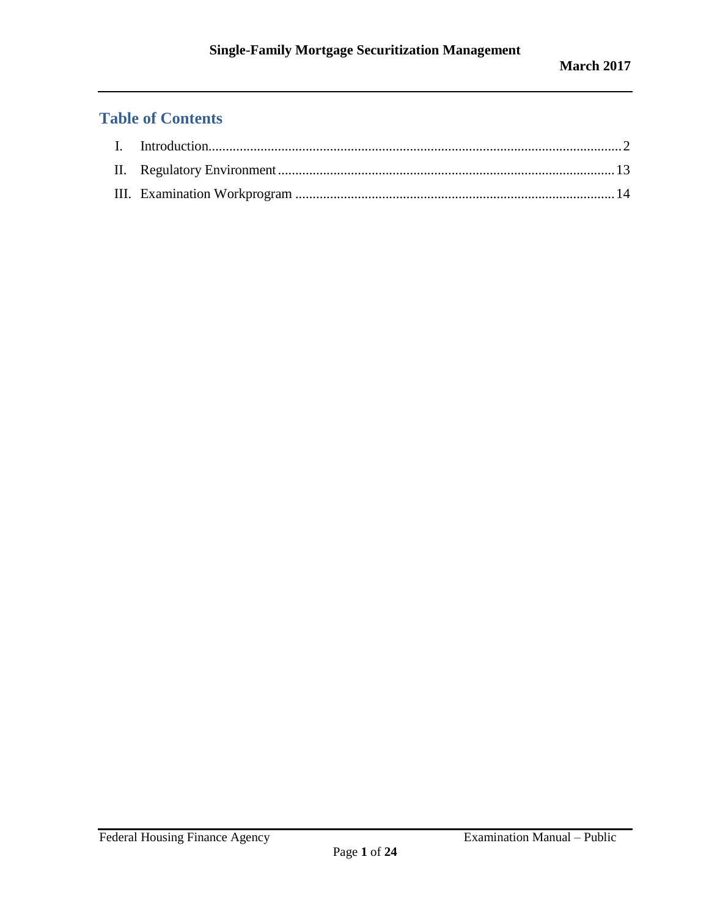# **Table of Contents**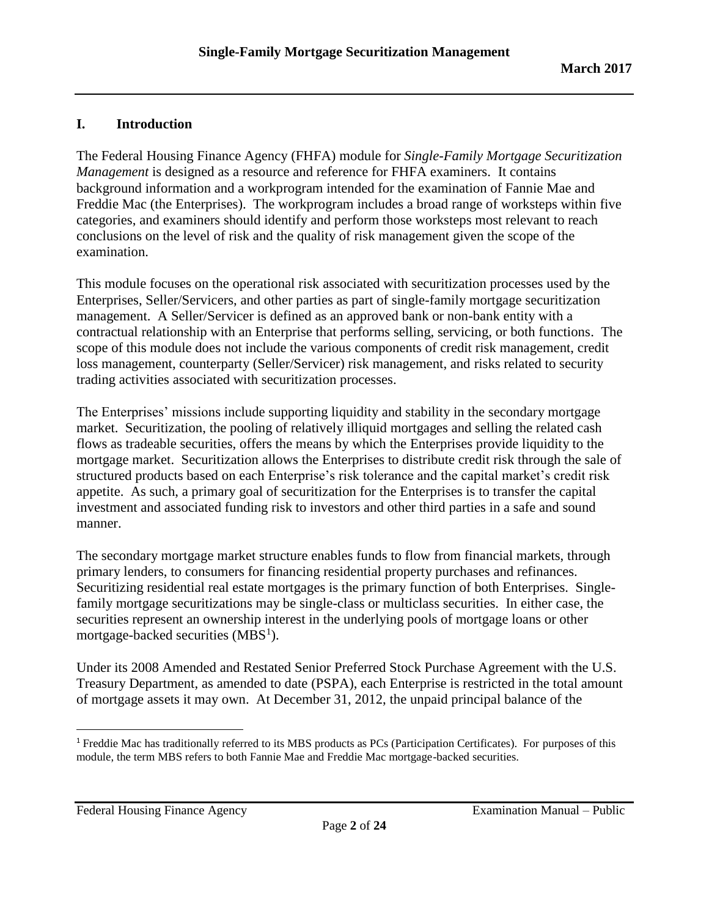# <span id="page-1-0"></span>**I. Introduction**

The Federal Housing Finance Agency (FHFA) module for *Single-Family Mortgage Securitization Management* is designed as a resource and reference for FHFA examiners. It contains background information and a workprogram intended for the examination of Fannie Mae and Freddie Mac (the Enterprises). The workprogram includes a broad range of worksteps within five categories, and examiners should identify and perform those worksteps most relevant to reach conclusions on the level of risk and the quality of risk management given the scope of the examination.

This module focuses on the operational risk associated with securitization processes used by the Enterprises, Seller/Servicers, and other parties as part of single-family mortgage securitization management. A Seller/Servicer is defined as an approved bank or non-bank entity with a contractual relationship with an Enterprise that performs selling, servicing, or both functions. The scope of this module does not include the various components of credit risk management, credit loss management, counterparty (Seller/Servicer) risk management, and risks related to security trading activities associated with securitization processes.

The Enterprises' missions include supporting liquidity and stability in the secondary mortgage market. Securitization, the pooling of relatively illiquid mortgages and selling the related cash flows as tradeable securities, offers the means by which the Enterprises provide liquidity to the mortgage market. Securitization allows the Enterprises to distribute credit risk through the sale of structured products based on each Enterprise's risk tolerance and the capital market's credit risk appetite. As such, a primary goal of securitization for the Enterprises is to transfer the capital investment and associated funding risk to investors and other third parties in a safe and sound manner.

The secondary mortgage market structure enables funds to flow from financial markets, through primary lenders, to consumers for financing residential property purchases and refinances. Securitizing residential real estate mortgages is the primary function of both Enterprises. Singlefamily mortgage securitizations may be single-class or multiclass securities. In either case, the securities represent an ownership interest in the underlying pools of mortgage loans or other mortgage-backed securities  $(MBS<sup>1</sup>)$ .

Under its 2008 Amended and Restated Senior Preferred Stock Purchase Agreement with the U.S. Treasury Department, as amended to date (PSPA), each Enterprise is restricted in the total amount of mortgage assets it may own. At December 31, 2012, the unpaid principal balance of the

Federal Housing Finance Agency Examination Manual – Public

l

<sup>&</sup>lt;sup>1</sup> Freddie Mac has traditionally referred to its MBS products as PCs (Participation Certificates). For purposes of this module, the term MBS refers to both Fannie Mae and Freddie Mac mortgage-backed securities.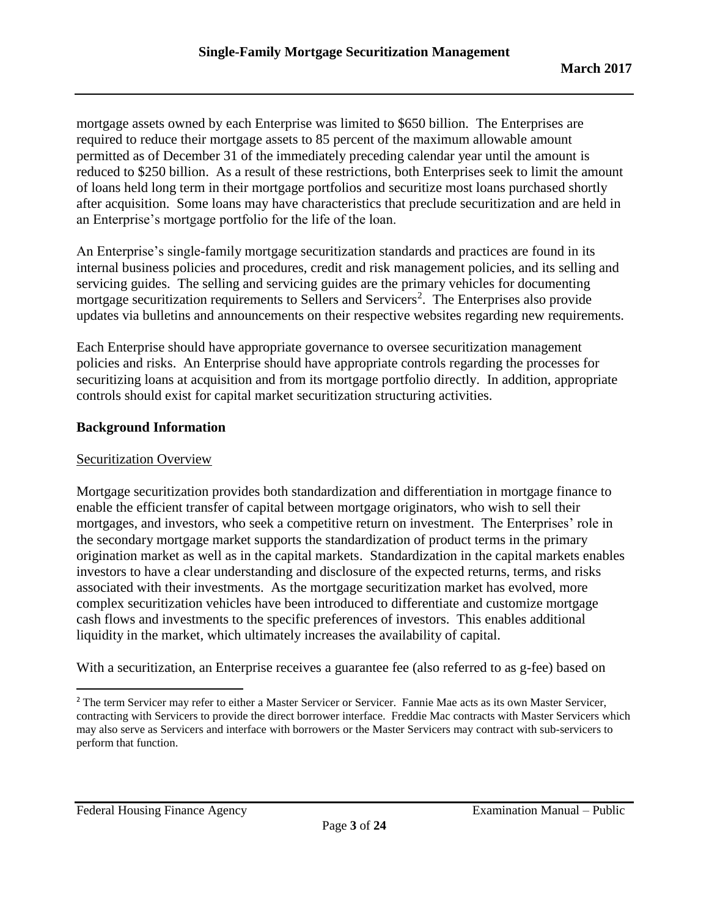mortgage assets owned by each Enterprise was limited to \$650 billion. The Enterprises are required to reduce their mortgage assets to 85 percent of the maximum allowable amount permitted as of December 31 of the immediately preceding calendar year until the amount is reduced to \$250 billion. As a result of these restrictions, both Enterprises seek to limit the amount of loans held long term in their mortgage portfolios and securitize most loans purchased shortly after acquisition. Some loans may have characteristics that preclude securitization and are held in an Enterprise's mortgage portfolio for the life of the loan.

An Enterprise's single-family mortgage securitization standards and practices are found in its internal business policies and procedures, credit and risk management policies, and its selling and servicing guides. The selling and servicing guides are the primary vehicles for documenting mortgage securitization requirements to Sellers and Servicers<sup>2</sup>. The Enterprises also provide updates via bulletins and announcements on their respective websites regarding new requirements.

Each Enterprise should have appropriate governance to oversee securitization management policies and risks. An Enterprise should have appropriate controls regarding the processes for securitizing loans at acquisition and from its mortgage portfolio directly. In addition, appropriate controls should exist for capital market securitization structuring activities.

### **Background Information**

#### Securitization Overview

Mortgage securitization provides both standardization and differentiation in mortgage finance to enable the efficient transfer of capital between mortgage originators, who wish to sell their mortgages, and investors, who seek a competitive return on investment. The Enterprises' role in the secondary mortgage market supports the standardization of product terms in the primary origination market as well as in the capital markets. Standardization in the capital markets enables investors to have a clear understanding and disclosure of the expected returns, terms, and risks associated with their investments. As the mortgage securitization market has evolved, more complex securitization vehicles have been introduced to differentiate and customize mortgage cash flows and investments to the specific preferences of investors. This enables additional liquidity in the market, which ultimately increases the availability of capital.

With a securitization, an Enterprise receives a guarantee fee (also referred to as g-fee) based on

 $\overline{\phantom{a}}$ 

<sup>&</sup>lt;sup>2</sup> The term Servicer may refer to either a Master Servicer or Servicer. Fannie Mae acts as its own Master Servicer, contracting with Servicers to provide the direct borrower interface. Freddie Mac contracts with Master Servicers which may also serve as Servicers and interface with borrowers or the Master Servicers may contract with sub-servicers to perform that function.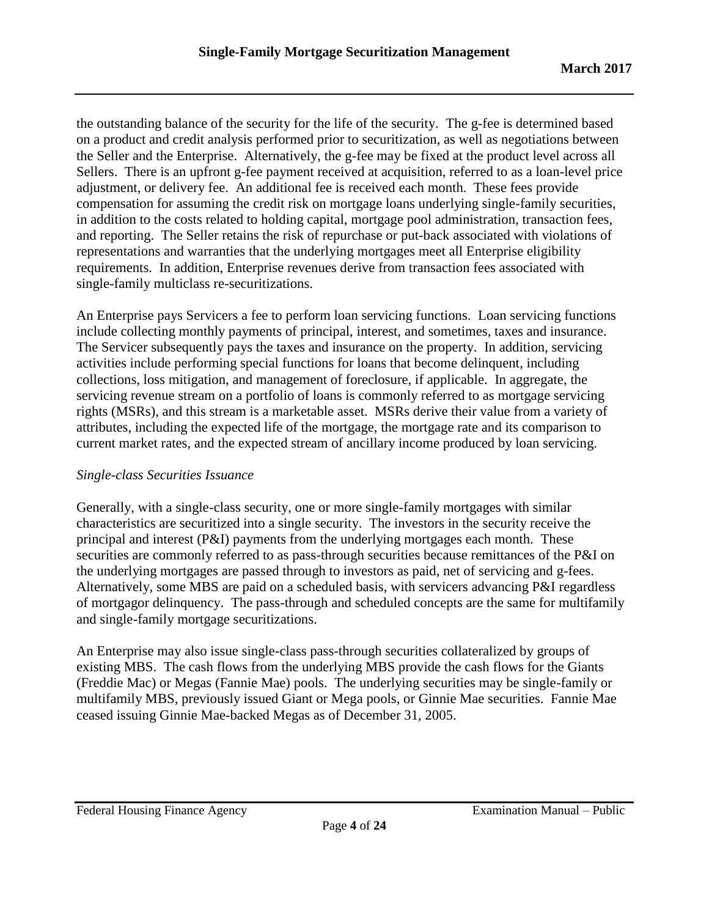the outstanding balance of the security for the life of the security. The g-fee is determined based on a product and credit analysis performed prior to securitization, as well as negotiations between the Seller and the Enterprise. Alternatively, the g-fee may be fixed at the product level across all Sellers. There is an upfront g-fee payment received at acquisition, referred to as a loan-level price adjustment, or delivery fee. An additional fee is received each month. These fees provide compensation for assuming the credit risk on mortgage loans underlying single-family securities, in addition to the costs related to holding capital, mortgage pool administration, transaction fees, and reporting. The Seller retains the risk of repurchase or put-back associated with violations of representations and warranties that the underlying mortgages meet all Enterprise eligibility requirements. In addition, Enterprise revenues derive from transaction fees associated with single-family multiclass re-securitizations.

An Enterprise pays Servicers a fee to perform loan servicing functions. Loan servicing functions include collecting monthly payments of principal, interest, and sometimes, taxes and insurance. The Servicer subsequently pays the taxes and insurance on the property. In addition, servicing activities include performing special functions for loans that become delinquent, including collections, loss mitigation, and management of foreclosure, if applicable. In aggregate, the servicing revenue stream on a portfolio of loans is commonly referred to as mortgage servicing rights (MSRs), and this stream is a marketable asset. MSRs derive their value from a variety of attributes, including the expected life of the mortgage, the mortgage rate and its comparison to current market rates, and the expected stream of ancillary income produced by loan servicing.

### *Single-class Securities Issuance*

Generally, with a single-class security, one or more single-family mortgages with similar characteristics are securitized into a single security. The investors in the security receive the principal and interest (P&I) payments from the underlying mortgages each month. These securities are commonly referred to as pass-through securities because remittances of the P&I on the underlying mortgages are passed through to investors as paid, net of servicing and g-fees. Alternatively, some MBS are paid on a scheduled basis, with servicers advancing P&I regardless of mortgagor delinquency. The pass-through and scheduled concepts are the same for multifamily and single-family mortgage securitizations.

An Enterprise may also issue single-class pass-through securities collateralized by groups of existing MBS. The cash flows from the underlying MBS provide the cash flows for the Giants (Freddie Mac) or Megas (Fannie Mae) pools. The underlying securities may be single-family or multifamily MBS, previously issued Giant or Mega pools, or Ginnie Mae securities. Fannie Mae ceased issuing Ginnie Mae-backed Megas as of December 31, 2005.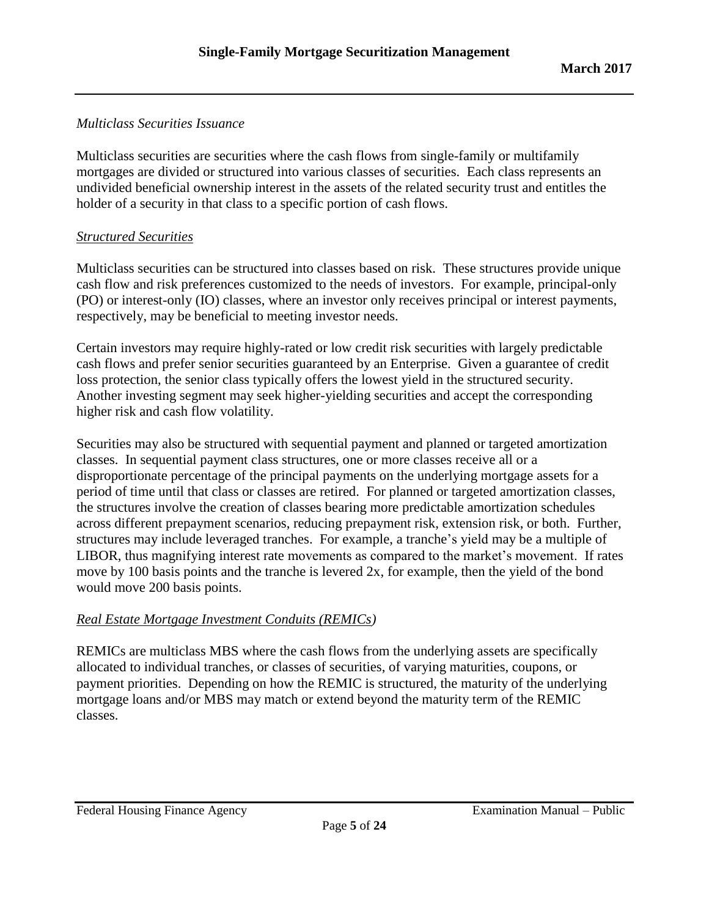## *Multiclass Securities Issuance*

Multiclass securities are securities where the cash flows from single-family or multifamily mortgages are divided or structured into various classes of securities. Each class represents an undivided beneficial ownership interest in the assets of the related security trust and entitles the holder of a security in that class to a specific portion of cash flows.

## *Structured Securities*

Multiclass securities can be structured into classes based on risk. These structures provide unique cash flow and risk preferences customized to the needs of investors. For example, principal-only (PO) or interest-only (IO) classes, where an investor only receives principal or interest payments, respectively, may be beneficial to meeting investor needs.

Certain investors may require highly-rated or low credit risk securities with largely predictable cash flows and prefer senior securities guaranteed by an Enterprise. Given a guarantee of credit loss protection, the senior class typically offers the lowest yield in the structured security. Another investing segment may seek higher-yielding securities and accept the corresponding higher risk and cash flow volatility.

Securities may also be structured with sequential payment and planned or targeted amortization classes. In sequential payment class structures, one or more classes receive all or a disproportionate percentage of the principal payments on the underlying mortgage assets for a period of time until that class or classes are retired. For planned or targeted amortization classes, the structures involve the creation of classes bearing more predictable amortization schedules across different prepayment scenarios, reducing prepayment risk, extension risk, or both. Further, structures may include leveraged tranches. For example, a tranche's yield may be a multiple of LIBOR, thus magnifying interest rate movements as compared to the market's movement. If rates move by 100 basis points and the tranche is levered 2x, for example, then the yield of the bond would move 200 basis points.

### *Real Estate Mortgage Investment Conduits (REMICs)*

REMICs are multiclass MBS where the cash flows from the underlying assets are specifically allocated to individual tranches, or classes of securities, of varying maturities, coupons, or payment priorities. Depending on how the REMIC is structured, the maturity of the underlying mortgage loans and/or MBS may match or extend beyond the maturity term of the REMIC classes.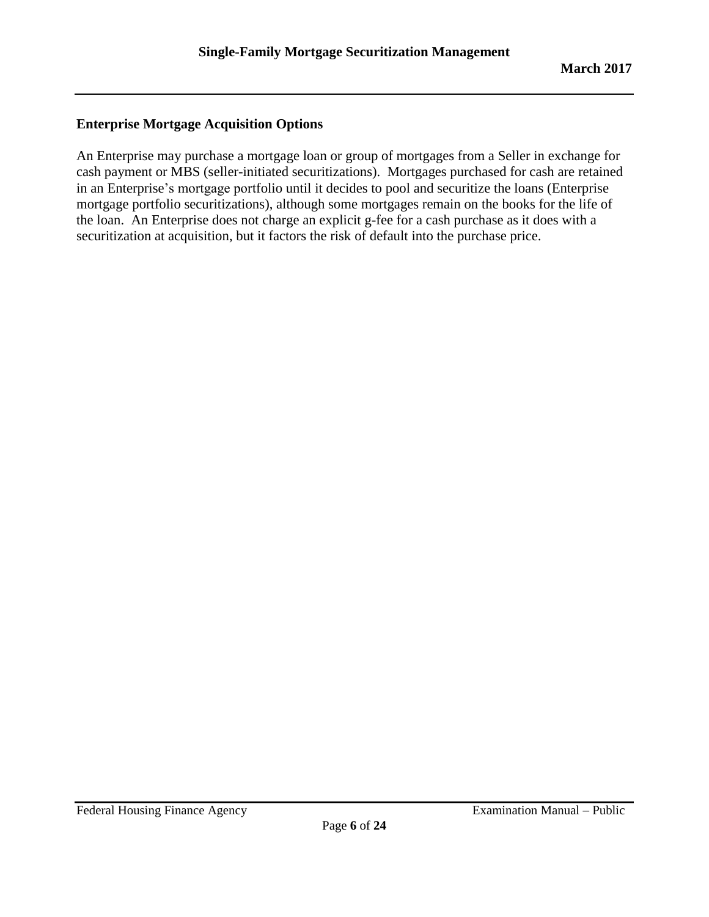# **Enterprise Mortgage Acquisition Options**

An Enterprise may purchase a mortgage loan or group of mortgages from a Seller in exchange for cash payment or MBS (seller-initiated securitizations). Mortgages purchased for cash are retained in an Enterprise's mortgage portfolio until it decides to pool and securitize the loans (Enterprise mortgage portfolio securitizations), although some mortgages remain on the books for the life of the loan. An Enterprise does not charge an explicit g-fee for a cash purchase as it does with a securitization at acquisition, but it factors the risk of default into the purchase price.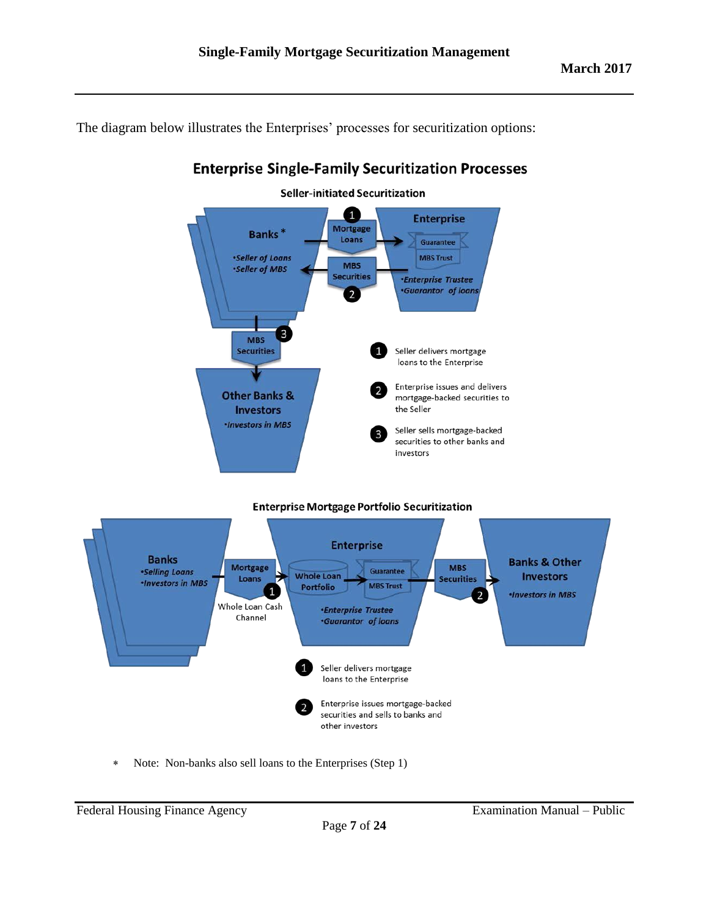The diagram below illustrates the Enterprises' processes for securitization options:



# **Enterprise Single-Family Securitization Processes**

**Enterprise Mortgage Portfolio Securitization** 



Note: Non-banks also sell loans to the Enterprises (Step 1)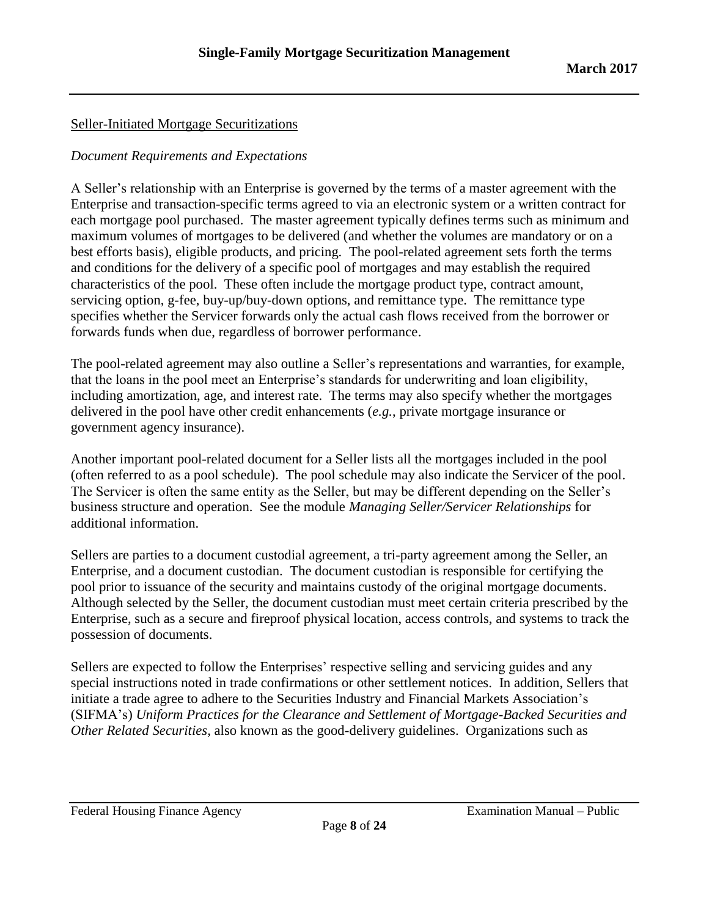# Seller-Initiated Mortgage Securitizations

## *Document Requirements and Expectations*

A Seller's relationship with an Enterprise is governed by the terms of a master agreement with the Enterprise and transaction-specific terms agreed to via an electronic system or a written contract for each mortgage pool purchased. The master agreement typically defines terms such as minimum and maximum volumes of mortgages to be delivered (and whether the volumes are mandatory or on a best efforts basis), eligible products, and pricing. The pool-related agreement sets forth the terms and conditions for the delivery of a specific pool of mortgages and may establish the required characteristics of the pool. These often include the mortgage product type, contract amount, servicing option, g-fee, buy-up/buy-down options, and remittance type. The remittance type specifies whether the Servicer forwards only the actual cash flows received from the borrower or forwards funds when due, regardless of borrower performance.

The pool-related agreement may also outline a Seller's representations and warranties, for example, that the loans in the pool meet an Enterprise's standards for underwriting and loan eligibility, including amortization, age, and interest rate. The terms may also specify whether the mortgages delivered in the pool have other credit enhancements (*e.g.*, private mortgage insurance or government agency insurance).

Another important pool-related document for a Seller lists all the mortgages included in the pool (often referred to as a pool schedule). The pool schedule may also indicate the Servicer of the pool. The Servicer is often the same entity as the Seller, but may be different depending on the Seller's business structure and operation. See the module *Managing Seller/Servicer Relationships* for additional information.

Sellers are parties to a document custodial agreement, a tri-party agreement among the Seller, an Enterprise, and a document custodian. The document custodian is responsible for certifying the pool prior to issuance of the security and maintains custody of the original mortgage documents. Although selected by the Seller, the document custodian must meet certain criteria prescribed by the Enterprise, such as a secure and fireproof physical location, access controls, and systems to track the possession of documents.

Sellers are expected to follow the Enterprises' respective selling and servicing guides and any special instructions noted in trade confirmations or other settlement notices. In addition, Sellers that initiate a trade agree to adhere to the Securities Industry and Financial Markets Association's (SIFMA's) *Uniform Practices for the Clearance and Settlement of Mortgage-Backed Securities and Other Related Securities,* also known as the good-delivery guidelines. Organizations such as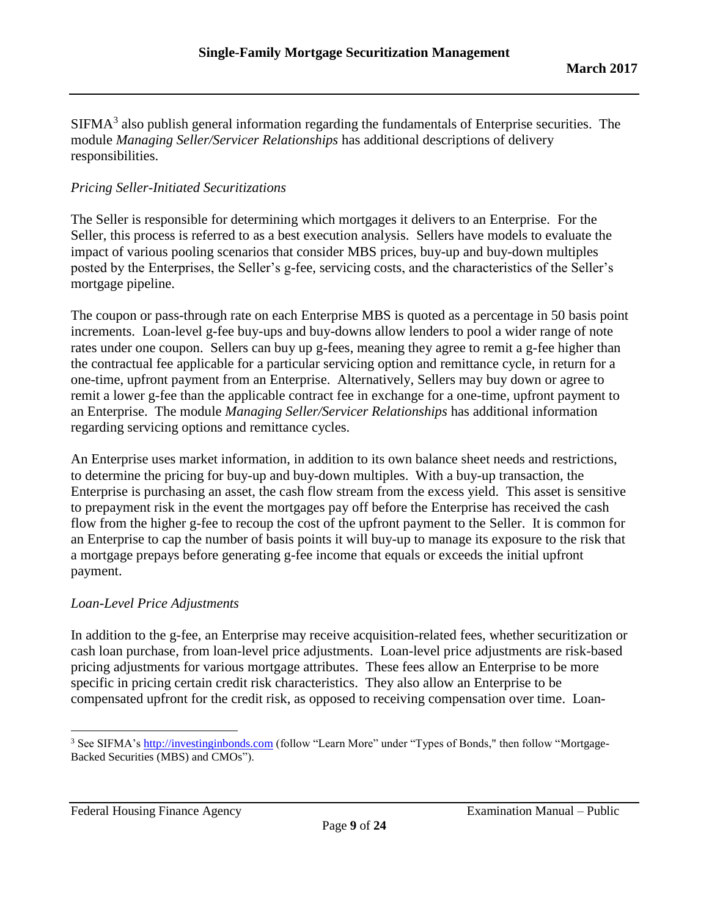$SIFMA<sup>3</sup>$  also publish general information regarding the fundamentals of Enterprise securities. The module *Managing Seller/Servicer Relationships* has additional descriptions of delivery responsibilities.

# *Pricing Seller-Initiated Securitizations*

The Seller is responsible for determining which mortgages it delivers to an Enterprise. For the Seller, this process is referred to as a best execution analysis. Sellers have models to evaluate the impact of various pooling scenarios that consider MBS prices, buy-up and buy-down multiples posted by the Enterprises, the Seller's g-fee, servicing costs, and the characteristics of the Seller's mortgage pipeline.

The coupon or pass-through rate on each Enterprise MBS is quoted as a percentage in 50 basis point increments. Loan-level g-fee buy-ups and buy-downs allow lenders to pool a wider range of note rates under one coupon. Sellers can buy up g-fees, meaning they agree to remit a g-fee higher than the contractual fee applicable for a particular servicing option and remittance cycle, in return for a one-time, upfront payment from an Enterprise. Alternatively, Sellers may buy down or agree to remit a lower g-fee than the applicable contract fee in exchange for a one-time, upfront payment to an Enterprise. The module *Managing Seller/Servicer Relationships* has additional information regarding servicing options and remittance cycles.

An Enterprise uses market information, in addition to its own balance sheet needs and restrictions, to determine the pricing for buy-up and buy-down multiples. With a buy-up transaction, the Enterprise is purchasing an asset, the cash flow stream from the excess yield. This asset is sensitive to prepayment risk in the event the mortgages pay off before the Enterprise has received the cash flow from the higher g-fee to recoup the cost of the upfront payment to the Seller. It is common for an Enterprise to cap the number of basis points it will buy-up to manage its exposure to the risk that a mortgage prepays before generating g-fee income that equals or exceeds the initial upfront payment.

### *Loan-Level Price Adjustments*

In addition to the g-fee, an Enterprise may receive acquisition-related fees, whether securitization or cash loan purchase, from loan-level price adjustments. Loan-level price adjustments are risk-based pricing adjustments for various mortgage attributes. These fees allow an Enterprise to be more specific in pricing certain credit risk characteristics. They also allow an Enterprise to be compensated upfront for the credit risk, as opposed to receiving compensation over time. Loan-

Federal Housing Finance Agency **Examination Manual – Public** 

 $\overline{\phantom{a}}$ <sup>3</sup> See SIFMA's [http://investinginbonds.com](http://investinginbonds.com/) (follow "Learn More" under "Types of Bonds," then follow "Mortgage-Backed Securities (MBS) and CMOs").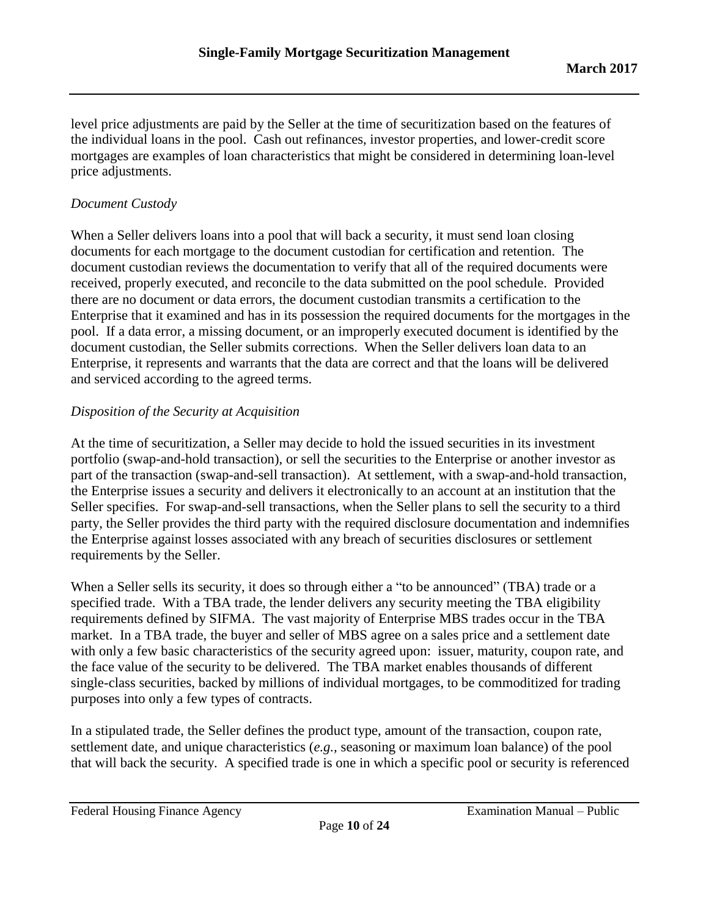level price adjustments are paid by the Seller at the time of securitization based on the features of the individual loans in the pool. Cash out refinances, investor properties, and lower-credit score mortgages are examples of loan characteristics that might be considered in determining loan-level price adjustments.

# *Document Custody*

When a Seller delivers loans into a pool that will back a security, it must send loan closing documents for each mortgage to the document custodian for certification and retention. The document custodian reviews the documentation to verify that all of the required documents were received, properly executed, and reconcile to the data submitted on the pool schedule. Provided there are no document or data errors, the document custodian transmits a certification to the Enterprise that it examined and has in its possession the required documents for the mortgages in the pool. If a data error, a missing document, or an improperly executed document is identified by the document custodian, the Seller submits corrections. When the Seller delivers loan data to an Enterprise, it represents and warrants that the data are correct and that the loans will be delivered and serviced according to the agreed terms.

# *Disposition of the Security at Acquisition*

At the time of securitization, a Seller may decide to hold the issued securities in its investment portfolio (swap-and-hold transaction), or sell the securities to the Enterprise or another investor as part of the transaction (swap-and-sell transaction). At settlement, with a swap-and-hold transaction, the Enterprise issues a security and delivers it electronically to an account at an institution that the Seller specifies. For swap-and-sell transactions, when the Seller plans to sell the security to a third party, the Seller provides the third party with the required disclosure documentation and indemnifies the Enterprise against losses associated with any breach of securities disclosures or settlement requirements by the Seller.

When a Seller sells its security, it does so through either a "to be announced" (TBA) trade or a specified trade. With a TBA trade, the lender delivers any security meeting the TBA eligibility requirements defined by SIFMA. The vast majority of Enterprise MBS trades occur in the TBA market. In a TBA trade, the buyer and seller of MBS agree on a sales price and a settlement date with only a few basic characteristics of the security agreed upon: issuer, maturity, coupon rate, and the face value of the security to be delivered. The TBA market enables thousands of different single-class securities, backed by millions of individual mortgages, to be commoditized for trading purposes into only a few types of contracts.

In a stipulated trade, the Seller defines the product type, amount of the transaction, coupon rate, settlement date, and unique characteristics (*e.g.,* seasoning or maximum loan balance) of the pool that will back the security. A specified trade is one in which a specific pool or security is referenced

Federal Housing Finance Agency **Examination Manual – Public**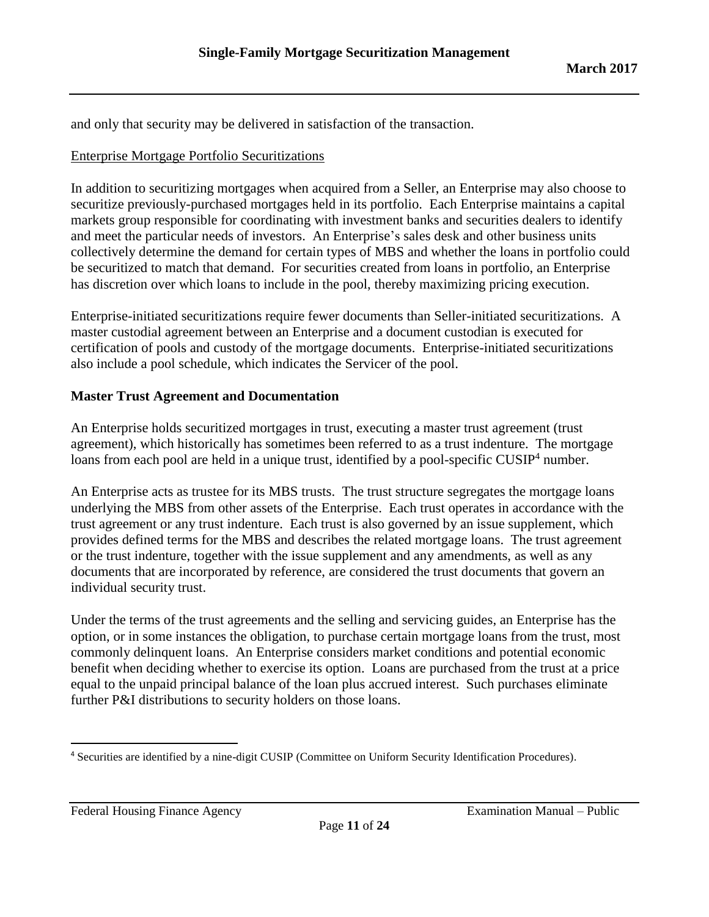and only that security may be delivered in satisfaction of the transaction.

### Enterprise Mortgage Portfolio Securitizations

In addition to securitizing mortgages when acquired from a Seller, an Enterprise may also choose to securitize previously-purchased mortgages held in its portfolio. Each Enterprise maintains a capital markets group responsible for coordinating with investment banks and securities dealers to identify and meet the particular needs of investors. An Enterprise's sales desk and other business units collectively determine the demand for certain types of MBS and whether the loans in portfolio could be securitized to match that demand. For securities created from loans in portfolio, an Enterprise has discretion over which loans to include in the pool, thereby maximizing pricing execution.

Enterprise-initiated securitizations require fewer documents than Seller-initiated securitizations. A master custodial agreement between an Enterprise and a document custodian is executed for certification of pools and custody of the mortgage documents. Enterprise-initiated securitizations also include a pool schedule, which indicates the Servicer of the pool.

# **Master Trust Agreement and Documentation**

An Enterprise holds securitized mortgages in trust, executing a master trust agreement (trust agreement), which historically has sometimes been referred to as a trust indenture. The mortgage loans from each pool are held in a unique trust, identified by a pool-specific  $CUSIP<sup>4</sup>$  number.

An Enterprise acts as trustee for its MBS trusts. The trust structure segregates the mortgage loans underlying the MBS from other assets of the Enterprise. Each trust operates in accordance with the trust agreement or any trust indenture. Each trust is also governed by an issue supplement, which provides defined terms for the MBS and describes the related mortgage loans. The trust agreement or the trust indenture, together with the issue supplement and any amendments, as well as any documents that are incorporated by reference, are considered the trust documents that govern an individual security trust.

Under the terms of the trust agreements and the selling and servicing guides, an Enterprise has the option, or in some instances the obligation, to purchase certain mortgage loans from the trust, most commonly delinquent loans. An Enterprise considers market conditions and potential economic benefit when deciding whether to exercise its option. Loans are purchased from the trust at a price equal to the unpaid principal balance of the loan plus accrued interest. Such purchases eliminate further P&I distributions to security holders on those loans.

Federal Housing Finance Agency **Examination Manual – Public** 

 $\overline{\phantom{a}}$ 

<sup>4</sup> Securities are identified by a nine-digit CUSIP (Committee on Uniform Security Identification Procedures).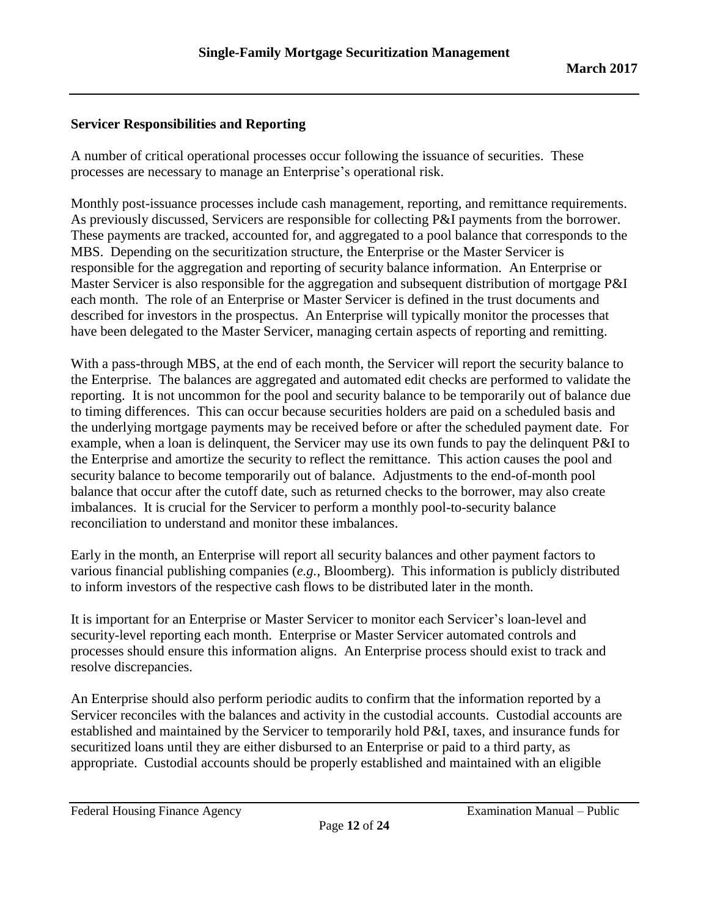# **Servicer Responsibilities and Reporting**

A number of critical operational processes occur following the issuance of securities. These processes are necessary to manage an Enterprise's operational risk.

Monthly post-issuance processes include cash management, reporting, and remittance requirements. As previously discussed, Servicers are responsible for collecting P&I payments from the borrower. These payments are tracked, accounted for, and aggregated to a pool balance that corresponds to the MBS. Depending on the securitization structure, the Enterprise or the Master Servicer is responsible for the aggregation and reporting of security balance information. An Enterprise or Master Servicer is also responsible for the aggregation and subsequent distribution of mortgage P&I each month. The role of an Enterprise or Master Servicer is defined in the trust documents and described for investors in the prospectus. An Enterprise will typically monitor the processes that have been delegated to the Master Servicer, managing certain aspects of reporting and remitting.

With a pass-through MBS, at the end of each month, the Servicer will report the security balance to the Enterprise. The balances are aggregated and automated edit checks are performed to validate the reporting. It is not uncommon for the pool and security balance to be temporarily out of balance due to timing differences. This can occur because securities holders are paid on a scheduled basis and the underlying mortgage payments may be received before or after the scheduled payment date. For example, when a loan is delinquent, the Servicer may use its own funds to pay the delinquent P&I to the Enterprise and amortize the security to reflect the remittance. This action causes the pool and security balance to become temporarily out of balance. Adjustments to the end-of-month pool balance that occur after the cutoff date, such as returned checks to the borrower, may also create imbalances. It is crucial for the Servicer to perform a monthly pool-to-security balance reconciliation to understand and monitor these imbalances.

Early in the month, an Enterprise will report all security balances and other payment factors to various financial publishing companies (*e.g.*, Bloomberg). This information is publicly distributed to inform investors of the respective cash flows to be distributed later in the month.

It is important for an Enterprise or Master Servicer to monitor each Servicer's loan-level and security-level reporting each month. Enterprise or Master Servicer automated controls and processes should ensure this information aligns. An Enterprise process should exist to track and resolve discrepancies.

An Enterprise should also perform periodic audits to confirm that the information reported by a Servicer reconciles with the balances and activity in the custodial accounts. Custodial accounts are established and maintained by the Servicer to temporarily hold P&I, taxes, and insurance funds for securitized loans until they are either disbursed to an Enterprise or paid to a third party, as appropriate. Custodial accounts should be properly established and maintained with an eligible

Federal Housing Finance Agency **Examination Manual** – Public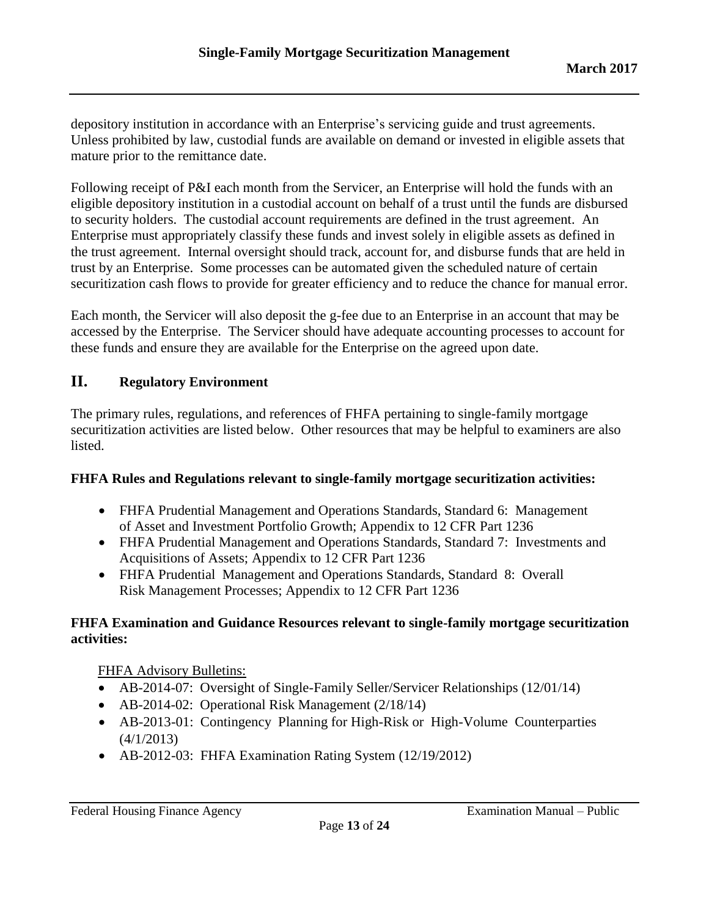depository institution in accordance with an Enterprise's servicing guide and trust agreements. Unless prohibited by law, custodial funds are available on demand or invested in eligible assets that mature prior to the remittance date.

Following receipt of P&I each month from the Servicer, an Enterprise will hold the funds with an eligible depository institution in a custodial account on behalf of a trust until the funds are disbursed to security holders. The custodial account requirements are defined in the trust agreement. An Enterprise must appropriately classify these funds and invest solely in eligible assets as defined in the trust agreement. Internal oversight should track, account for, and disburse funds that are held in trust by an Enterprise. Some processes can be automated given the scheduled nature of certain securitization cash flows to provide for greater efficiency and to reduce the chance for manual error.

Each month, the Servicer will also deposit the g-fee due to an Enterprise in an account that may be accessed by the Enterprise. The Servicer should have adequate accounting processes to account for these funds and ensure they are available for the Enterprise on the agreed upon date.

# <span id="page-12-0"></span>**II. Regulatory Environment**

The primary rules, regulations, and references of FHFA pertaining to single-family mortgage securitization activities are listed below. Other resources that may be helpful to examiners are also listed.

### **FHFA Rules and Regulations relevant to single-family mortgage securitization activities:**

- FHFA Prudential Management and Operations Standards, Standard 6: Management of Asset and Investment Portfolio Growth; Appendix to 12 CFR Part 1236
- FHFA Prudential Management and Operations Standards, Standard 7: Investments and Acquisitions of Assets; Appendix to 12 CFR Part 1236
- FHFA Prudential Management and Operations Standards, Standard 8: Overall Risk Management Processes; Appendix to 12 CFR Part 1236

# **FHFA Examination and Guidance Resources relevant to single-family mortgage securitization activities:**

FHFA Advisory Bulletins:

- AB-2014-07: Oversight of Single-Family Seller/Servicer Relationships (12/01/14)
- AB-2014-02: Operational Risk Management (2/18/14)
- AB-2013-01: Contingency Planning for High-Risk or High-Volume Counterparties (4/1/2013)
- AB-2012-03: FHFA Examination Rating System (12/19/2012)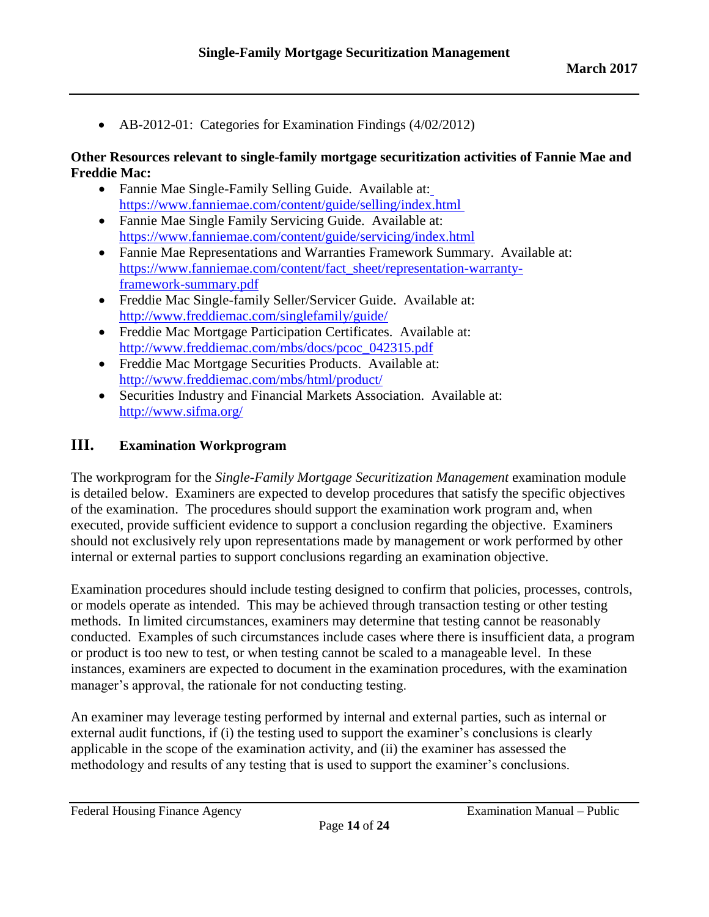• AB-2012-01: [Categories for Examination Findings \(4/02/2012\)](http://intranet.fhfa.gov/webfiles/4757/AB%202012%2001%20Categories%20for%20Examination%20Findings.pdf)

### **Other Resources relevant to single-family mortgage securitization activities of Fannie Mae and Freddie Mac:**

- Fannie Mae Single-Family Selling Guide. Available at[:](https://www.fanniemae.com/content/guide/selling/c3/1/01.html) [https://www.fanniemae.com/content/guide/selling/index.html](https://www.fanniemae.com/content/guide/selling/c3/1/01.html)
- Fannie Mae Single Family Servicing Guide. Available at: <https://www.fanniemae.com/content/guide/servicing/index.html>
- Fannie Mae Representations and Warranties Framework Summary. Available at: [https://www.fanniemae.com/content/fact\\_sheet/representation-warranty](https://www.fanniemae.com/content/fact_sheet/representation-warranty-framework-summary.pdf)[framework-summary.pdf](https://www.fanniemae.com/content/fact_sheet/representation-warranty-framework-summary.pdf)
- Freddie Mac Single-family Seller/Servicer Guide. Available at: <http://www.freddiemac.com/singlefamily/guide/>
- Freddie Mac Mortgage Participation Certificates. Available at: [http://www.freddiemac.com/mbs/docs/pcoc\\_042315.pdf](http://www.freddiemac.com/mbs/docs/pcoc_042315.pdf)
- Freddie Mac Mortgage Securities Products. Available at: <http://www.freddiemac.com/mbs/html/product/>
- Securities Industry and Financial Markets Association. Available at: <http://www.sifma.org/>

# <span id="page-13-0"></span>**III. Examination Workprogram**

The workprogram for the *Single-Family Mortgage Securitization Management* examination module is detailed below. Examiners are expected to develop procedures that satisfy the specific objectives of the examination. The procedures should support the examination work program and, when executed, provide sufficient evidence to support a conclusion regarding the objective. Examiners should not exclusively rely upon representations made by management or work performed by other internal or external parties to support conclusions regarding an examination objective.

Examination procedures should include testing designed to confirm that policies, processes, controls, or models operate as intended. This may be achieved through transaction testing or other testing methods. In limited circumstances, examiners may determine that testing cannot be reasonably conducted. Examples of such circumstances include cases where there is insufficient data, a program or product is too new to test, or when testing cannot be scaled to a manageable level. In these instances, examiners are expected to document in the examination procedures, with the examination manager's approval, the rationale for not conducting testing.

An examiner may leverage testing performed by internal and external parties, such as internal or external audit functions, if (i) the testing used to support the examiner's conclusions is clearly applicable in the scope of the examination activity, and (ii) the examiner has assessed the methodology and results of any testing that is used to support the examiner's conclusions.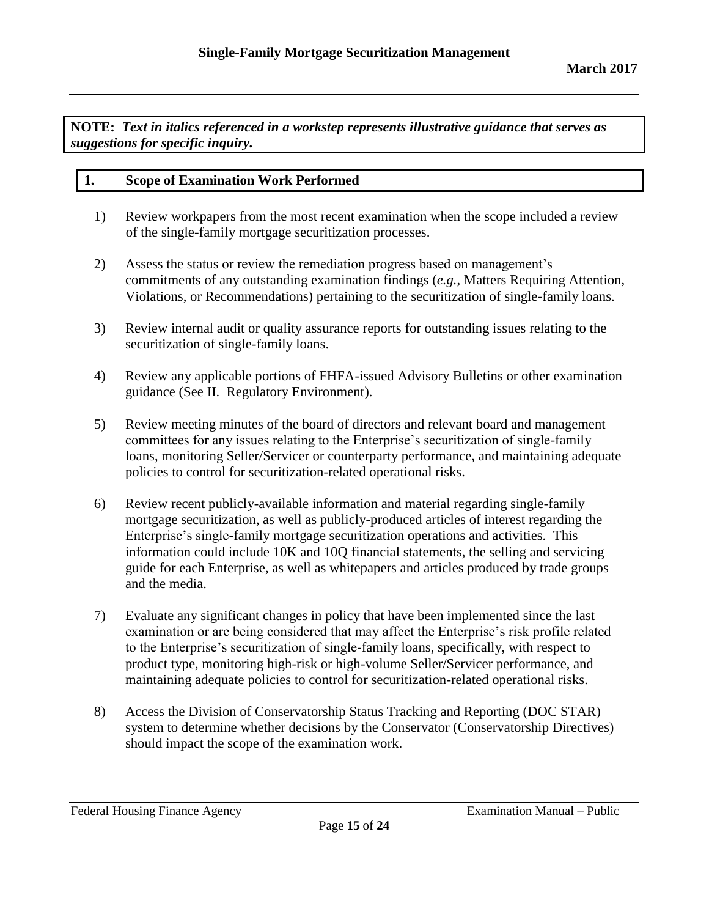**NOTE:** *Text in italics referenced in a workstep represents illustrative guidance that serves as suggestions for specific inquiry.*

#### **1. Scope of Examination Work Performed**

- 1) Review workpapers from the most recent examination when the scope included a review of the single-family mortgage securitization processes.
- 2) Assess the status or review the remediation progress based on management's commitments of any outstanding examination findings (*e.g.*, Matters Requiring Attention, Violations, or Recommendations) pertaining to the securitization of single-family loans.
- 3) Review internal audit or quality assurance reports for outstanding issues relating to the securitization of single-family loans.
- 4) Review any applicable portions of FHFA-issued Advisory Bulletins or other examination guidance (See II. Regulatory Environment).
- 5) Review meeting minutes of the board of directors and relevant board and management committees for any issues relating to the Enterprise's securitization of single-family loans, monitoring Seller/Servicer or counterparty performance, and maintaining adequate policies to control for securitization-related operational risks.
- 6) Review recent publicly-available information and material regarding single-family mortgage securitization, as well as publicly-produced articles of interest regarding the Enterprise's single-family mortgage securitization operations and activities. This information could include 10K and 10Q financial statements, the selling and servicing guide for each Enterprise, as well as whitepapers and articles produced by trade groups and the media.
- 7) Evaluate any significant changes in policy that have been implemented since the last examination or are being considered that may affect the Enterprise's risk profile related to the Enterprise's securitization of single-family loans, specifically, with respect to product type, monitoring high-risk or high-volume Seller/Servicer performance, and maintaining adequate policies to control for securitization-related operational risks.
- 8) Access the Division of Conservatorship Status Tracking and Reporting (DOC STAR) system to determine whether decisions by the Conservator (Conservatorship Directives) should impact the scope of the examination work.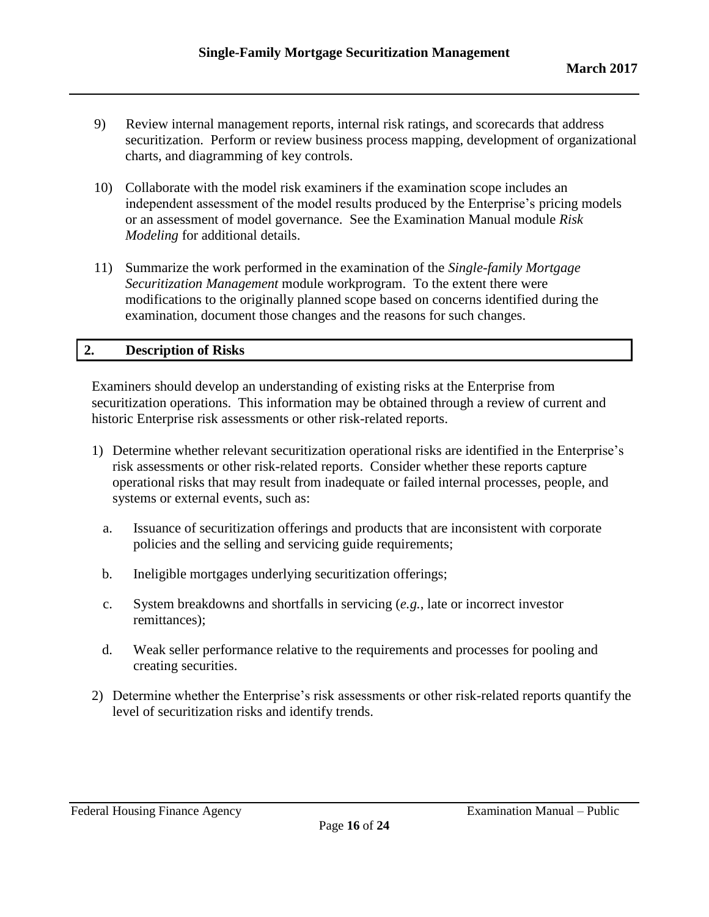- 9) Review internal management reports, internal risk ratings, and scorecards that address securitization. Perform or review business process mapping, development of organizational charts, and diagramming of key controls.
- 10) Collaborate with the model risk examiners if the examination scope includes an independent assessment of the model results produced by the Enterprise's pricing models or an assessment of model governance. See the Examination Manual module *Risk Modeling* for additional details.
- 11) Summarize the work performed in the examination of the *Single-family Mortgage Securitization Management* module workprogram. To the extent there were modifications to the originally planned scope based on concerns identified during the examination, document those changes and the reasons for such changes.

#### **2. Description of Risks**

Examiners should develop an understanding of existing risks at the Enterprise from securitization operations. This information may be obtained through a review of current and historic Enterprise risk assessments or other risk-related reports.

- 1) Determine whether relevant securitization operational risks are identified in the Enterprise's risk assessments or other risk-related reports. Consider whether these reports capture operational risks that may result from inadequate or failed internal processes, people, and systems or external events, such as:
	- a. Issuance of securitization offerings and products that are inconsistent with corporate policies and the selling and servicing guide requirements;
	- b. Ineligible mortgages underlying securitization offerings;
	- c. System breakdowns and shortfalls in servicing (*e.g.*, late or incorrect investor remittances);
	- d. Weak seller performance relative to the requirements and processes for pooling and creating securities.
- 2) Determine whether the Enterprise's risk assessments or other risk-related reports quantify the level of securitization risks and identify trends.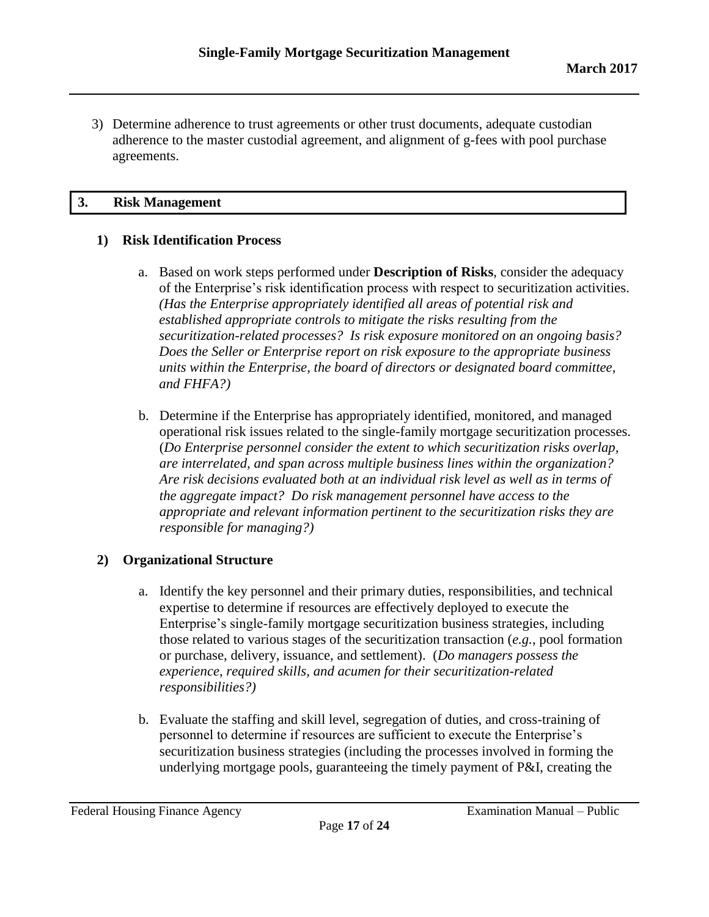3) Determine adherence to trust agreements or other trust documents, adequate custodian adherence to the master custodial agreement, and alignment of g-fees with pool purchase agreements.

#### **3. Risk Management**

### **1) Risk Identification Process**

- a. Based on work steps performed under **Description of Risks**, consider the adequacy of the Enterprise's risk identification process with respect to securitization activities. *(Has the Enterprise appropriately identified all areas of potential risk and established appropriate controls to mitigate the risks resulting from the securitization-related processes? Is risk exposure monitored on an ongoing basis? Does the Seller or Enterprise report on risk exposure to the appropriate business units within the Enterprise, the board of directors or designated board committee, and FHFA?)*
- b. Determine if the Enterprise has appropriately identified, monitored, and managed operational risk issues related to the single-family mortgage securitization processes. (*Do Enterprise personnel consider the extent to which securitization risks overlap, are interrelated, and span across multiple business lines within the organization? Are risk decisions evaluated both at an individual risk level as well as in terms of the aggregate impact? Do risk management personnel have access to the appropriate and relevant information pertinent to the securitization risks they are responsible for managing?)*

### **2) Organizational Structure**

- a. Identify the key personnel and their primary duties, responsibilities, and technical expertise to determine if resources are effectively deployed to execute the Enterprise's single-family mortgage securitization business strategies, including those related to various stages of the securitization transaction (*e.g.*, pool formation or purchase, delivery, issuance, and settlement). (*Do managers possess the experience, required skills, and acumen for their securitization-related responsibilities?)*
- b. Evaluate the staffing and skill level, segregation of duties, and cross-training of personnel to determine if resources are sufficient to execute the Enterprise's securitization business strategies (including the processes involved in forming the underlying mortgage pools, guaranteeing the timely payment of P&I, creating the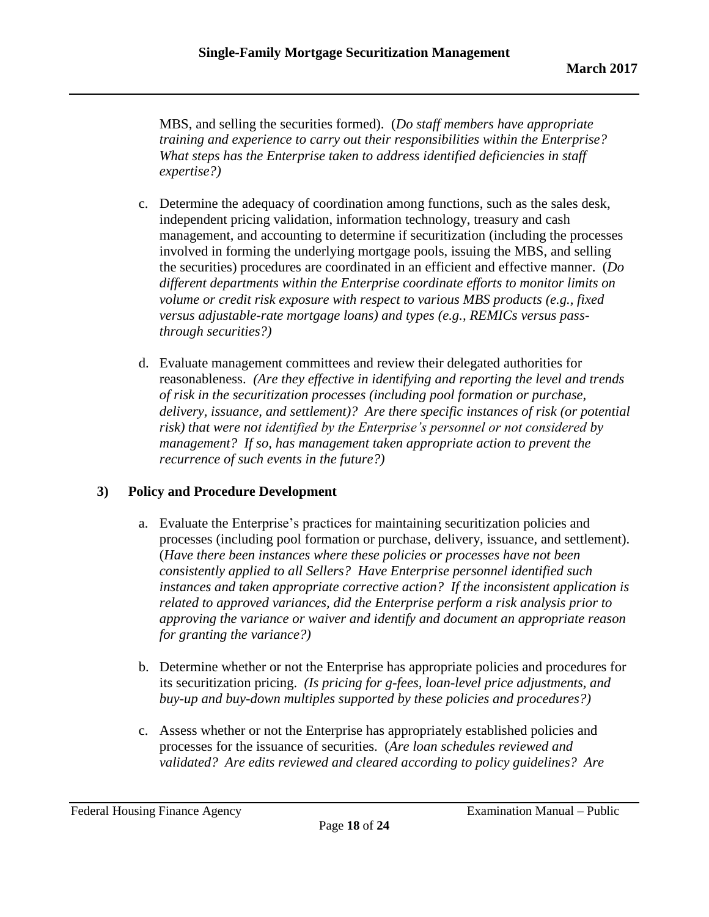MBS, and selling the securities formed). (*Do staff members have appropriate training and experience to carry out their responsibilities within the Enterprise? What steps has the Enterprise taken to address identified deficiencies in staff expertise?)*

- c. Determine the adequacy of coordination among functions, such as the sales desk, independent pricing validation, information technology, treasury and cash management, and accounting to determine if securitization (including the processes involved in forming the underlying mortgage pools, issuing the MBS, and selling the securities) procedures are coordinated in an efficient and effective manner. (*Do different departments within the Enterprise coordinate efforts to monitor limits on volume or credit risk exposure with respect to various MBS products (e.g., fixed versus adjustable-rate mortgage loans) and types (e.g., REMICs versus passthrough securities?)*
- d. Evaluate management committees and review their delegated authorities for reasonableness. *(Are they effective in identifying and reporting the level and trends of risk in the securitization processes (including pool formation or purchase, delivery, issuance, and settlement)? Are there specific instances of risk (or potential risk) that were not identified by the Enterprise's personnel or not considered by management? If so, has management taken appropriate action to prevent the recurrence of such events in the future?)*

# **3) Policy and Procedure Development**

- a. Evaluate the Enterprise's practices for maintaining securitization policies and processes (including pool formation or purchase, delivery, issuance, and settlement). (*Have there been instances where these policies or processes have not been consistently applied to all Sellers? Have Enterprise personnel identified such instances and taken appropriate corrective action? If the inconsistent application is related to approved variances, did the Enterprise perform a risk analysis prior to approving the variance or waiver and identify and document an appropriate reason for granting the variance?)*
- b. Determine whether or not the Enterprise has appropriate policies and procedures for its securitization pricing. *(Is pricing for g-fees, loan-level price adjustments, and buy-up and buy-down multiples supported by these policies and procedures?)*
- c. Assess whether or not the Enterprise has appropriately established policies and processes for the issuance of securities. (*Are loan schedules reviewed and validated? Are edits reviewed and cleared according to policy guidelines? Are*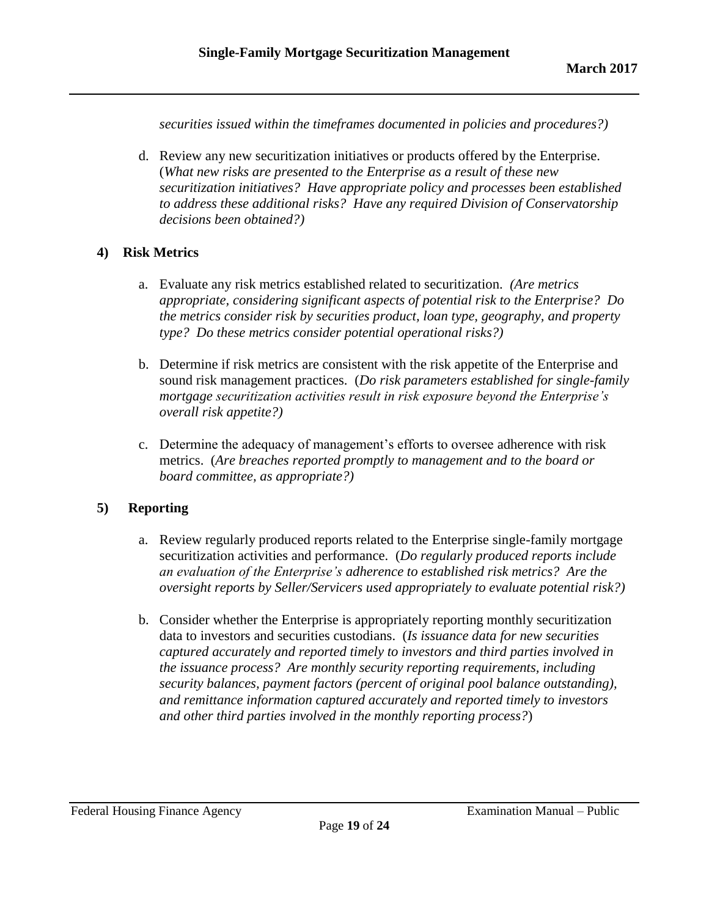*securities issued within the timeframes documented in policies and procedures?)*

d. Review any new securitization initiatives or products offered by the Enterprise. (*What new risks are presented to the Enterprise as a result of these new securitization initiatives? Have appropriate policy and processes been established to address these additional risks? Have any required Division of Conservatorship decisions been obtained?)*

### **4) Risk Metrics**

- a. Evaluate any risk metrics established related to securitization. *(Are metrics appropriate, considering significant aspects of potential risk to the Enterprise? Do the metrics consider risk by securities product, loan type, geography, and property type? Do these metrics consider potential operational risks?)*
- b. Determine if risk metrics are consistent with the risk appetite of the Enterprise and sound risk management practices. (*Do risk parameters established for single-family mortgage securitization activities result in risk exposure beyond the Enterprise's overall risk appetite?)*
- c. Determine the adequacy of management's efforts to oversee adherence with risk metrics. (*Are breaches reported promptly to management and to the board or board committee, as appropriate?)*

# **5) Reporting**

- a. Review regularly produced reports related to the Enterprise single-family mortgage securitization activities and performance. (*Do regularly produced reports include an evaluation of the Enterprise's adherence to established risk metrics? Are the oversight reports by Seller/Servicers used appropriately to evaluate potential risk?)*
- b. Consider whether the Enterprise is appropriately reporting monthly securitization data to investors and securities custodians. (*Is issuance data for new securities captured accurately and reported timely to investors and third parties involved in the issuance process? Are monthly security reporting requirements, including security balances, payment factors (percent of original pool balance outstanding), and remittance information captured accurately and reported timely to investors and other third parties involved in the monthly reporting process?*)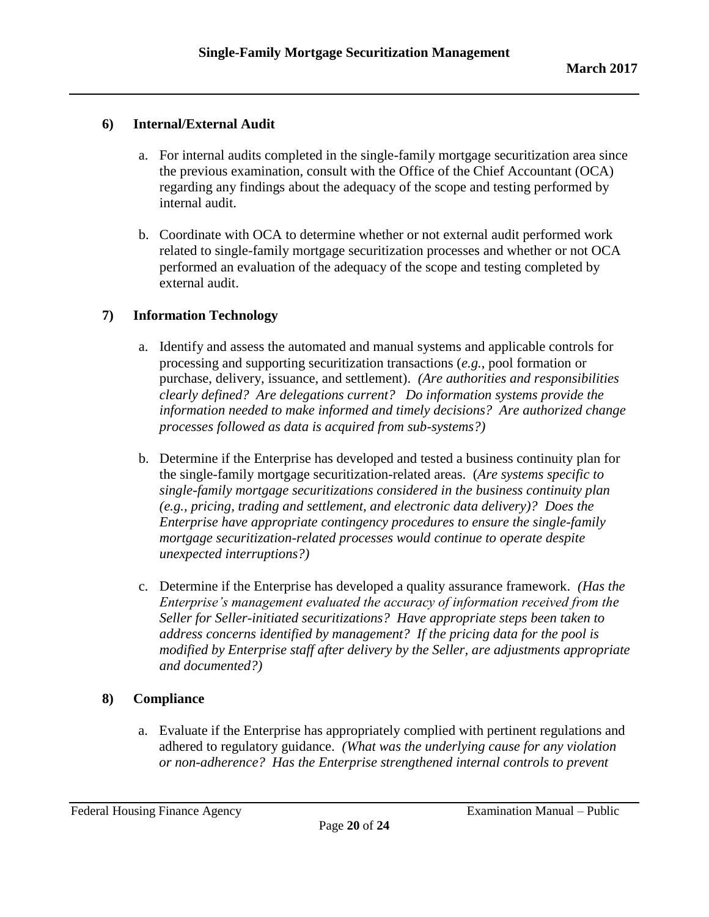# **6) Internal/External Audit**

- a. For internal audits completed in the single-family mortgage securitization area since the previous examination, consult with the Office of the Chief Accountant (OCA) regarding any findings about the adequacy of the scope and testing performed by internal audit.
- b. Coordinate with OCA to determine whether or not external audit performed work related to single-family mortgage securitization processes and whether or not OCA performed an evaluation of the adequacy of the scope and testing completed by external audit.

# **7) Information Technology**

- a. Identify and assess the automated and manual systems and applicable controls for processing and supporting securitization transactions (*e.g.*, pool formation or purchase, delivery, issuance, and settlement). *(Are authorities and responsibilities clearly defined? Are delegations current? Do information systems provide the information needed to make informed and timely decisions? Are authorized change processes followed as data is acquired from sub-systems?)*
- b. Determine if the Enterprise has developed and tested a business continuity plan for the single-family mortgage securitization-related areas. (*Are systems specific to single-family mortgage securitizations considered in the business continuity plan (e.g., pricing, trading and settlement, and electronic data delivery)? Does the Enterprise have appropriate contingency procedures to ensure the single-family mortgage securitization-related processes would continue to operate despite unexpected interruptions?)*
- c. Determine if the Enterprise has developed a quality assurance framework. *(Has the Enterprise's management evaluated the accuracy of information received from the Seller for Seller-initiated securitizations? Have appropriate steps been taken to address concerns identified by management? If the pricing data for the pool is modified by Enterprise staff after delivery by the Seller, are adjustments appropriate and documented?)*

### **8) Compliance**

a. Evaluate if the Enterprise has appropriately complied with pertinent regulations and adhered to regulatory guidance. *(What was the underlying cause for any violation or non-adherence? Has the Enterprise strengthened internal controls to prevent*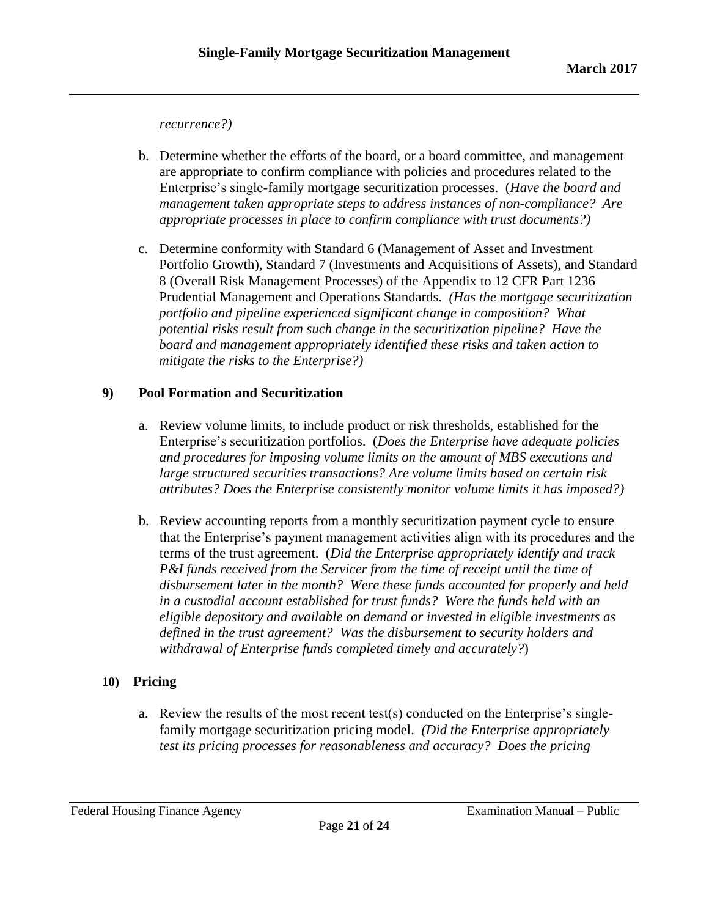*recurrence?)*

- b. Determine whether the efforts of the board, or a board committee, and management are appropriate to confirm compliance with policies and procedures related to the Enterprise's single-family mortgage securitization processes. (*Have the board and management taken appropriate steps to address instances of non-compliance? Are appropriate processes in place to confirm compliance with trust documents?)*
- c. Determine conformity with Standard 6 (Management of Asset and Investment Portfolio Growth), Standard 7 (Investments and Acquisitions of Assets), and Standard 8 (Overall Risk Management Processes) of the Appendix to 12 CFR Part 1236 Prudential Management and Operations Standards. *(Has the mortgage securitization portfolio and pipeline experienced significant change in composition? What potential risks result from such change in the securitization pipeline? Have the board and management appropriately identified these risks and taken action to mitigate the risks to the Enterprise?)*

# **9) Pool Formation and Securitization**

- a. Review volume limits, to include product or risk thresholds, established for the Enterprise's securitization portfolios. (*Does the Enterprise have adequate policies and procedures for imposing volume limits on the amount of MBS executions and large structured securities transactions? Are volume limits based on certain risk attributes? Does the Enterprise consistently monitor volume limits it has imposed?)*
- b. Review accounting reports from a monthly securitization payment cycle to ensure that the Enterprise's payment management activities align with its procedures and the terms of the trust agreement. (*Did the Enterprise appropriately identify and track P&I funds received from the Servicer from the time of receipt until the time of disbursement later in the month? Were these funds accounted for properly and held in a custodial account established for trust funds? Were the funds held with an eligible depository and available on demand or invested in eligible investments as defined in the trust agreement? Was the disbursement to security holders and withdrawal of Enterprise funds completed timely and accurately?*)

# **10) Pricing**

a. Review the results of the most recent test(s) conducted on the Enterprise's singlefamily mortgage securitization pricing model. *(Did the Enterprise appropriately test its pricing processes for reasonableness and accuracy? Does the pricing*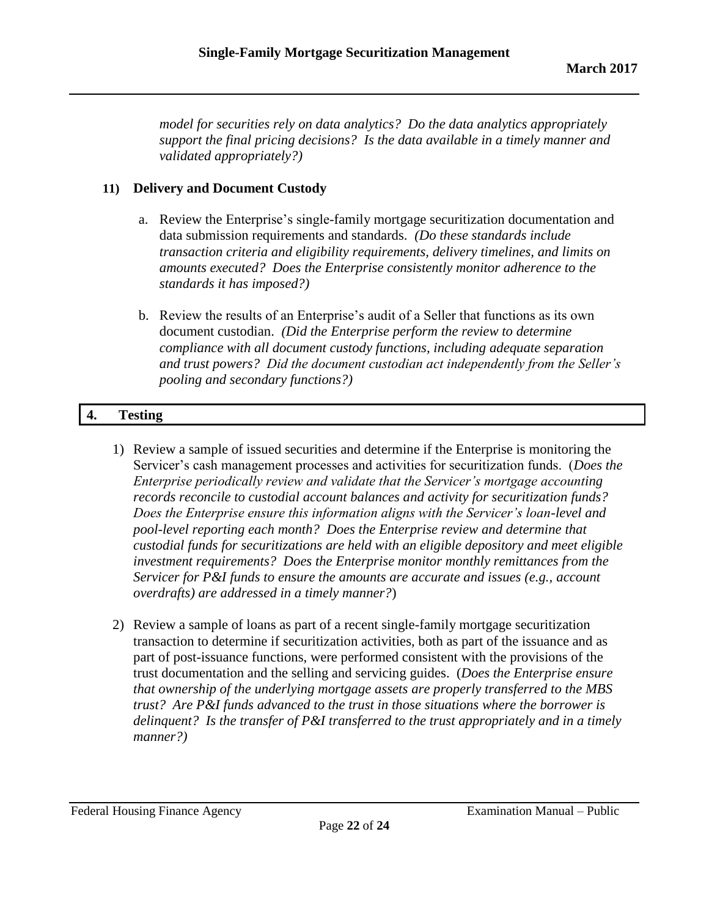*model for securities rely on data analytics? Do the data analytics appropriately support the final pricing decisions? Is the data available in a timely manner and validated appropriately?)*

# **11) Delivery and Document Custody**

- a. Review the Enterprise's single-family mortgage securitization documentation and data submission requirements and standards. *(Do these standards include transaction criteria and eligibility requirements, delivery timelines, and limits on amounts executed? Does the Enterprise consistently monitor adherence to the standards it has imposed?)*
- b. Review the results of an Enterprise's audit of a Seller that functions as its own document custodian. *(Did the Enterprise perform the review to determine compliance with all document custody functions, including adequate separation and trust powers? Did the document custodian act independently from the Seller's pooling and secondary functions?)*

# **4. Testing**

- 1) Review a sample of issued securities and determine if the Enterprise is monitoring the Servicer's cash management processes and activities for securitization funds. (*Does the Enterprise periodically review and validate that the Servicer's mortgage accounting records reconcile to custodial account balances and activity for securitization funds? Does the Enterprise ensure this information aligns with the Servicer's loan-level and pool-level reporting each month? Does the Enterprise review and determine that custodial funds for securitizations are held with an eligible depository and meet eligible investment requirements? Does the Enterprise monitor monthly remittances from the Servicer for P&I funds to ensure the amounts are accurate and issues (e.g., account overdrafts) are addressed in a timely manner?*)
- 2) Review a sample of loans as part of a recent single-family mortgage securitization transaction to determine if securitization activities, both as part of the issuance and as part of post-issuance functions, were performed consistent with the provisions of the trust documentation and the selling and servicing guides. (*Does the Enterprise ensure that ownership of the underlying mortgage assets are properly transferred to the MBS trust? Are P&I funds advanced to the trust in those situations where the borrower is delinquent? Is the transfer of P&I transferred to the trust appropriately and in a timely manner?)*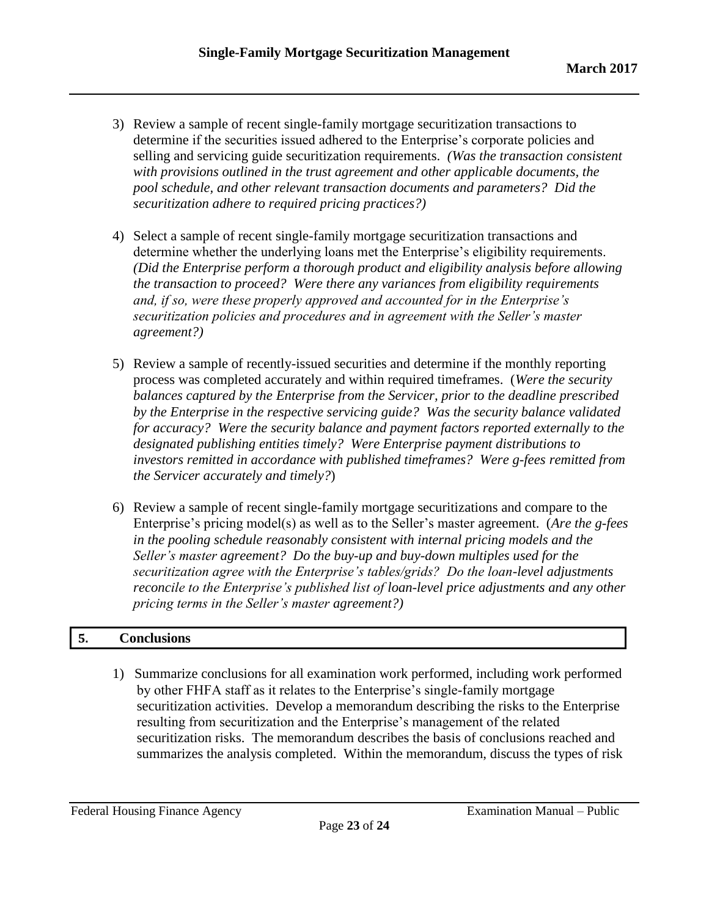- 3) Review a sample of recent single-family mortgage securitization transactions to determine if the securities issued adhered to the Enterprise's corporate policies and selling and servicing guide securitization requirements. *(Was the transaction consistent with provisions outlined in the trust agreement and other applicable documents, the pool schedule, and other relevant transaction documents and parameters? Did the securitization adhere to required pricing practices?)*
- 4) Select a sample of recent single-family mortgage securitization transactions and determine whether the underlying loans met the Enterprise's eligibility requirements. *(Did the Enterprise perform a thorough product and eligibility analysis before allowing the transaction to proceed? Were there any variances from eligibility requirements and, if so, were these properly approved and accounted for in the Enterprise's securitization policies and procedures and in agreement with the Seller's master agreement?)*
- 5) Review a sample of recently-issued securities and determine if the monthly reporting process was completed accurately and within required timeframes. (*Were the security balances captured by the Enterprise from the Servicer, prior to the deadline prescribed by the Enterprise in the respective servicing guide? Was the security balance validated for accuracy? Were the security balance and payment factors reported externally to the designated publishing entities timely? Were Enterprise payment distributions to investors remitted in accordance with published timeframes? Were g-fees remitted from the Servicer accurately and timely?*)
- 6) Review a sample of recent single-family mortgage securitizations and compare to the Enterprise's pricing model(s) as well as to the Seller's master agreement. (*Are the g-fees in the pooling schedule reasonably consistent with internal pricing models and the Seller's master agreement? Do the buy-up and buy-down multiples used for the securitization agree with the Enterprise's tables/grids? Do the loan-level adjustments reconcile to the Enterprise's published list of loan-level price adjustments and any other pricing terms in the Seller's master agreement?)*

### **5. Conclusions**

 1) Summarize conclusions for all examination work performed, including work performed by other FHFA staff as it relates to the Enterprise's single-family mortgage securitization activities. Develop a memorandum describing the risks to the Enterprise resulting from securitization and the Enterprise's management of the related securitization risks. The memorandum describes the basis of conclusions reached and summarizes the analysis completed. Within the memorandum, discuss the types of risk